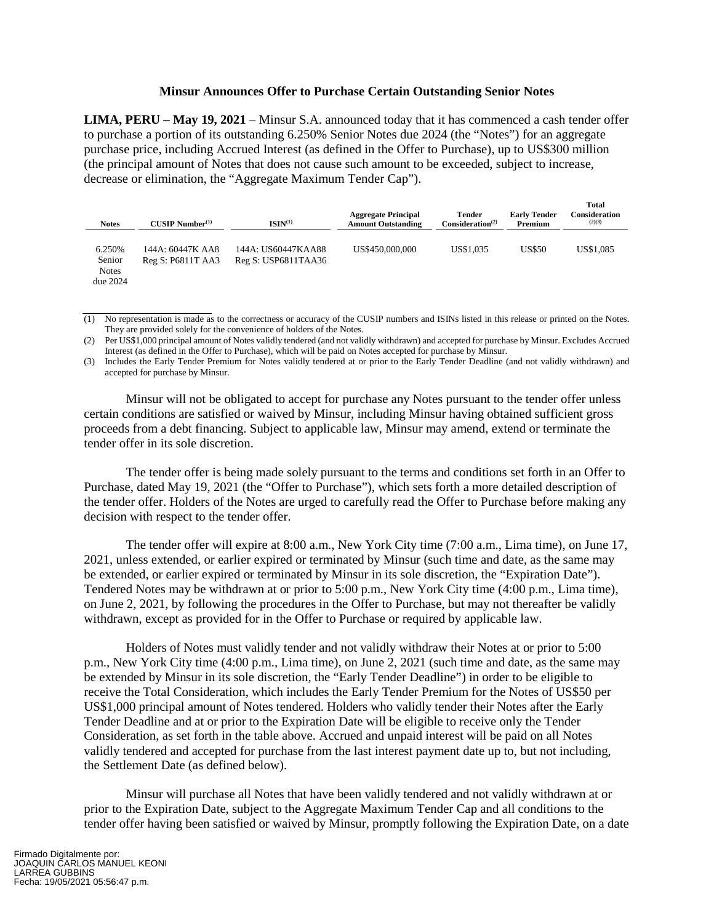## **Minsur Announces Offer to Purchase Certain Outstanding Senior Notes**

**LIMA, PERU – May 19, 2021** – Minsur S.A. announced today that it has commenced a cash tender offer to purchase a portion of its outstanding 6.250% Senior Notes due 2024 (the "Notes") for an aggregate purchase price, including Accrued Interest (as defined in the Offer to Purchase), up to US\$300 million (the principal amount of Notes that does not cause such amount to be exceeded, subject to increase, decrease or elimination, the "Aggregate Maximum Tender Cap").

**Total** 

| <b>Notes</b>                                   | $CUSIP$ Number $(1)$                  | ISIN <sup>(1)</sup>                       | <b>Aggregate Principal</b><br><b>Amount Outstanding</b> | <b>Tender</b><br>Consideration <sup>(2)</sup> | <b>Early Tender</b><br>Premium | rouar<br>Consideration<br>(2)(3) |
|------------------------------------------------|---------------------------------------|-------------------------------------------|---------------------------------------------------------|-----------------------------------------------|--------------------------------|----------------------------------|
| 6.250%<br>Senior<br><b>Notes</b><br>due $2024$ | 144A: 60447K AA8<br>Reg S: P6811T AA3 | 144A: US60447KAA88<br>Reg S: USP6811TAA36 | US\$450,000,000                                         | US\$1,035                                     | US\$50                         | US\$1,085                        |

<sup>(1)</sup> No representation is made as to the correctness or accuracy of the CUSIP numbers and ISINs listed in this release or printed on the Notes. They are provided solely for the convenience of holders of the Notes.

(3) Includes the Early Tender Premium for Notes validly tendered at or prior to the Early Tender Deadline (and not validly withdrawn) and accepted for purchase by Minsur.

Minsur will not be obligated to accept for purchase any Notes pursuant to the tender offer unless certain conditions are satisfied or waived by Minsur, including Minsur having obtained sufficient gross proceeds from a debt financing. Subject to applicable law, Minsur may amend, extend or terminate the tender offer in its sole discretion.

The tender offer is being made solely pursuant to the terms and conditions set forth in an Offer to Purchase, dated May 19, 2021 (the "Offer to Purchase"), which sets forth a more detailed description of the tender offer. Holders of the Notes are urged to carefully read the Offer to Purchase before making any decision with respect to the tender offer.

The tender offer will expire at 8:00 a.m., New York City time (7:00 a.m., Lima time), on June 17, 2021, unless extended, or earlier expired or terminated by Minsur (such time and date, as the same may be extended, or earlier expired or terminated by Minsur in its sole discretion, the "Expiration Date"). Tendered Notes may be withdrawn at or prior to 5:00 p.m., New York City time (4:00 p.m., Lima time), on June 2, 2021, by following the procedures in the Offer to Purchase, but may not thereafter be validly withdrawn, except as provided for in the Offer to Purchase or required by applicable law.

Holders of Notes must validly tender and not validly withdraw their Notes at or prior to 5:00 p.m., New York City time (4:00 p.m., Lima time), on June 2, 2021 (such time and date, as the same may be extended by Minsur in its sole discretion, the "Early Tender Deadline") in order to be eligible to receive the Total Consideration, which includes the Early Tender Premium for the Notes of US\$50 per US\$1,000 principal amount of Notes tendered. Holders who validly tender their Notes after the Early Tender Deadline and at or prior to the Expiration Date will be eligible to receive only the Tender Consideration, as set forth in the table above. Accrued and unpaid interest will be paid on all Notes validly tendered and accepted for purchase from the last interest payment date up to, but not including, the Settlement Date (as defined below).

Minsur will purchase all Notes that have been validly tendered and not validly withdrawn at or prior to the Expiration Date, subject to the Aggregate Maximum Tender Cap and all conditions to the tender offer having been satisfied or waived by Minsur, promptly following the Expiration Date, on a date

<sup>(2)</sup> Per US\$1,000 principal amount of Notes validly tendered (and not validly withdrawn) and accepted for purchase by Minsur. Excludes Accrued Interest (as defined in the Offer to Purchase), which will be paid on Notes accepted for purchase by Minsur.